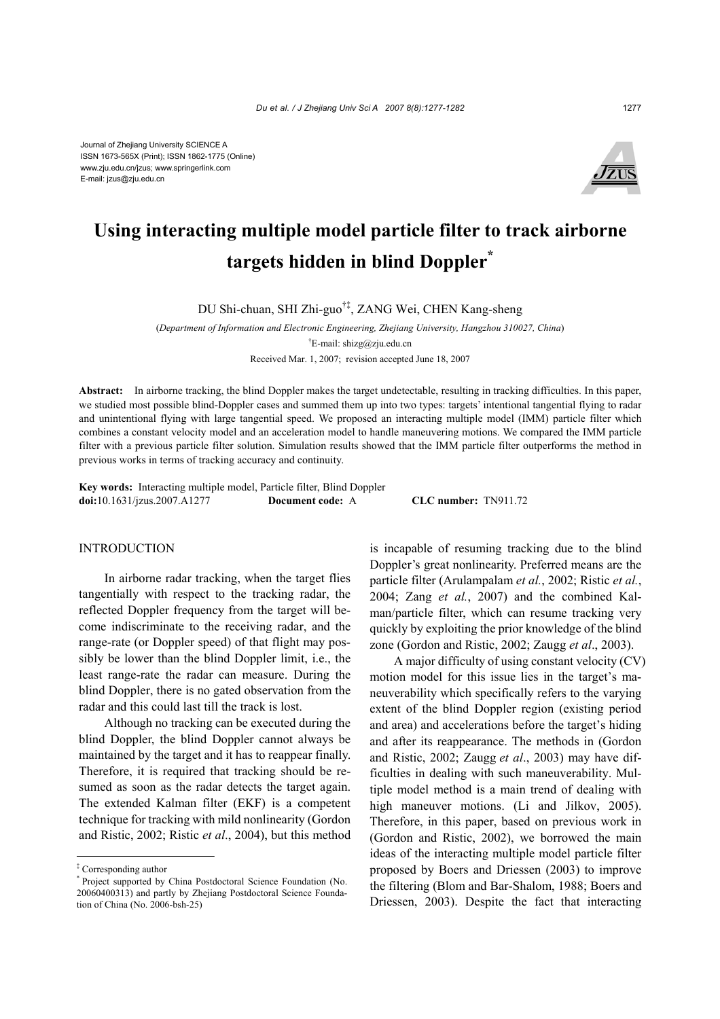

# **Using interacting multiple model particle filter to track airborne targets hidden in blind Doppler\***

DU Shi-chuan, SHI Zhi-guo†‡, ZANG Wei, CHEN Kang-sheng

(*Department of Information and Electronic Engineering, Zhejiang University, Hangzhou 310027, China*) † E-mail: shizg@zju.edu.cn

Received Mar. 1, 2007; revision accepted June 18, 2007

**Abstract:** In airborne tracking, the blind Doppler makes the target undetectable, resulting in tracking difficulties. In this paper, we studied most possible blind-Doppler cases and summed them up into two types: targets' intentional tangential flying to radar and unintentional flying with large tangential speed. We proposed an interacting multiple model (IMM) particle filter which combines a constant velocity model and an acceleration model to handle maneuvering motions. We compared the IMM particle filter with a previous particle filter solution. Simulation results showed that the IMM particle filter outperforms the method in previous works in terms of tracking accuracy and continuity.

**Key words:** Interacting multiple model, Particle filter, Blind Doppler **doi:**10.1631/jzus.2007.A1277 **Document code:** A **CLC number:** TN911.72

## INTRODUCTION

In airborne radar tracking, when the target flies tangentially with respect to the tracking radar, the reflected Doppler frequency from the target will become indiscriminate to the receiving radar, and the range-rate (or Doppler speed) of that flight may possibly be lower than the blind Doppler limit, i.e., the least range-rate the radar can measure. During the blind Doppler, there is no gated observation from the radar and this could last till the track is lost.

Although no tracking can be executed during the blind Doppler, the blind Doppler cannot always be maintained by the target and it has to reappear finally. Therefore, it is required that tracking should be resumed as soon as the radar detects the target again. The extended Kalman filter (EKF) is a competent technique for tracking with mild nonlinearity (Gordon and Ristic, 2002; Ristic *et al*., 2004), but this method

is incapable of resuming tracking due to the blind Doppler's great nonlinearity. Preferred means are the particle filter (Arulampalam *et al.*, 2002; Ristic *et al.*, 2004; Zang *et al.*, 2007) and the combined Kalman/particle filter, which can resume tracking very quickly by exploiting the prior knowledge of the blind zone (Gordon and Ristic, 2002; Zaugg *et al*., 2003).

A major difficulty of using constant velocity (CV) motion model for this issue lies in the target's maneuverability which specifically refers to the varying extent of the blind Doppler region (existing period and area) and accelerations before the target's hiding and after its reappearance. The methods in (Gordon and Ristic, 2002; Zaugg *et al*., 2003) may have difficulties in dealing with such maneuverability. Multiple model method is a main trend of dealing with high maneuver motions. (Li and Jilkov, 2005). Therefore, in this paper, based on previous work in (Gordon and Ristic, 2002), we borrowed the main ideas of the interacting multiple model particle filter proposed by Boers and Driessen (2003) to improve the filtering (Blom and Bar-Shalom, 1988; Boers and Driessen, 2003). Despite the fact that interacting

<sup>‡</sup> Corresponding author

<sup>\*</sup> Project supported by China Postdoctoral Science Foundation (No. 20060400313) and partly by Zhejiang Postdoctoral Science Foundation of China (No. 2006-bsh-25)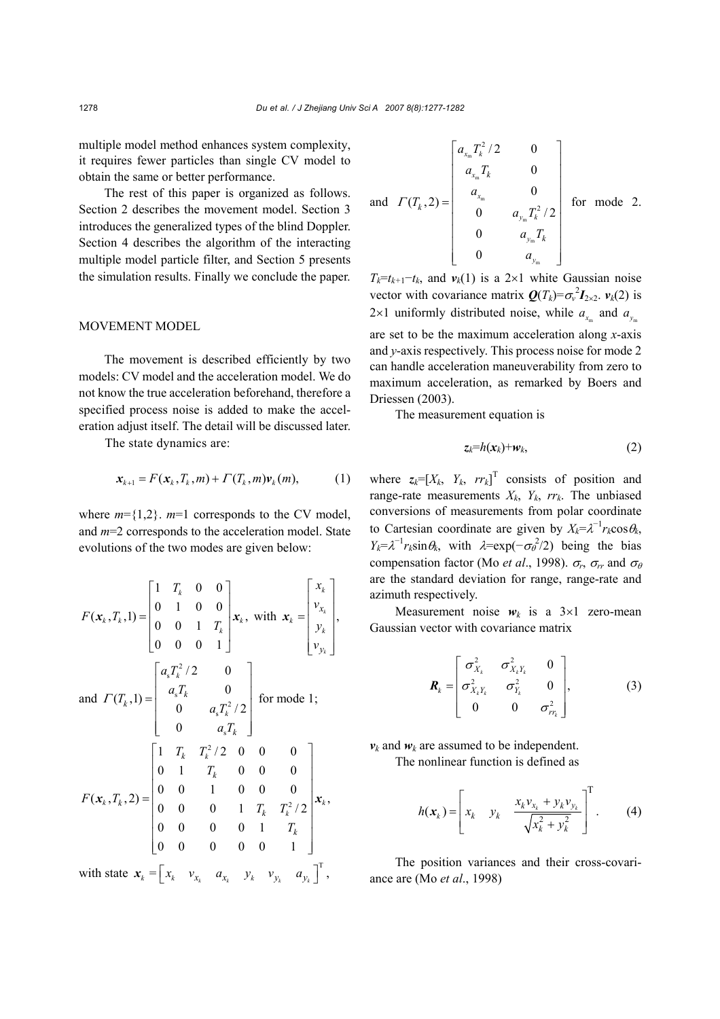multiple model method enhances system complexity, it requires fewer particles than single CV model to obtain the same or better performance.

The rest of this paper is organized as follows. Section 2 describes the movement model. Section 3 introduces the generalized types of the blind Doppler. Section 4 describes the algorithm of the interacting multiple model particle filter, and Section 5 presents the simulation results. Finally we conclude the paper.

#### MOVEMENT MODEL

The movement is described efficiently by two models: CV model and the acceleration model. We do not know the true acceleration beforehand, therefore a specified process noise is added to make the acceleration adjust itself. The detail will be discussed later.

The state dynamics are:

$$
\mathbf{x}_{k+1} = F(\mathbf{x}_k, T_k, m) + \Gamma(T_k, m)\mathbf{v}_k(m), \tag{1}
$$

where  $m=\{1,2\}$ .  $m=1$  corresponds to the CV model, and *m*=2 corresponds to the acceleration model. State evolutions of the two modes are given below:

$$
F(\mathbf{x}_k, T_k, 1) = \begin{bmatrix} 1 & T_k & 0 & 0 \\ 0 & 1 & 0 & 0 \\ 0 & 0 & 1 & T_k \\ 0 & 0 & 0 & 1 \end{bmatrix} \mathbf{x}_k, \text{ with } \mathbf{x}_k = \begin{bmatrix} x_k \\ v_{x_k} \\ y_k \\ v_{y_k} \end{bmatrix},
$$
  
and 
$$
T(T_k, 1) = \begin{bmatrix} a_s T_k^2 / 2 & 0 \\ a_s T_k & 0 \\ 0 & a_s T_k^2 / 2 \\ 0 & 0 & a_s T_k \end{bmatrix} \text{ for mode 1;}
$$
  

$$
F(\mathbf{x}_k, T_k, 2) = \begin{bmatrix} 1 & T_k & T_k^2 / 2 & 0 & 0 & 0 \\ 0 & 1 & T_k & 0 & 0 & 0 \\ 0 & 0 & 1 & 0 & 0 & 0 \\ 0 & 0 & 0 & 1 & T_k & T_k^2 / 2 \\ 0 & 0 & 0 & 0 & 1 & T_k \\ 0 & 0 & 0 & 0 & 0 & 1 \end{bmatrix} \mathbf{x}_k,
$$
  
with state  $\mathbf{x}_k = \begin{bmatrix} x_k & v_{x_k} & a_{x_k} & y_k & v_{y_k} & a_{y_k} \end{bmatrix}^T$ ,

and 
$$
\Gamma(T_k, 2) = \begin{bmatrix} a_{x_m} T_k^2 / 2 & 0 \\ a_{x_m} T_k & 0 \\ a_{x_m} & 0 \\ 0 & a_{y_m} T_k^2 / 2 \\ 0 & a_{y_m} T_k \\ 0 & a_{y_m} \end{bmatrix}
$$
 for mode 2.

 $T_k = t_{k+1} - t_k$ , and  $v_k(1)$  is a 2×1 white Gaussian noise vector with covariance matrix  $Q(T_k) = \sigma_v^2 I_{2 \times 2}$ .  $v_k(2)$  is 2×1 uniformly distributed noise, while  $a_x$  and  $a_y$ 

are set to be the maximum acceleration along *x*-axis and *y*-axis respectively. This process noise for mode 2 can handle acceleration maneuverability from zero to maximum acceleration, as remarked by Boers and Driessen (2003).

The measurement equation is

$$
z_k=h(x_k)+w_k,\t\t(2)
$$

where  $z_k = [X_k, Y_k, rr_k]^T$  consists of position and range-rate measurements  $X_k$ ,  $Y_k$ ,  $rr_k$ . The unbiased conversions of measurements from polar coordinate to Cartesian coordinate are given by  $X_k = \lambda^{-1} r_k \cos \theta_k$ ,  $Y_k = \lambda^{-1} r_k \sin \theta_k$ , with  $\lambda = \exp(-\sigma_\theta^2/2)$  being the bias compensation factor (Mo *et al.*, 1998).  $\sigma_r$ ,  $\sigma_{rr}$  and  $\sigma_{\theta}$ are the standard deviation for range, range-rate and azimuth respectively.

Measurement noise  $w_k$  is a  $3 \times 1$  zero-mean Gaussian vector with covariance matrix

$$
\boldsymbol{R}_{k} = \begin{bmatrix} \sigma_{X_{k}}^{2} & \sigma_{X_{k}Y_{k}}^{2} & 0 \\ \sigma_{X_{k}Y_{k}}^{2} & \sigma_{Y_{k}}^{2} & 0 \\ 0 & 0 & \sigma_{r_{k}}^{2} \end{bmatrix},
$$
(3)

 $v_k$  and  $w_k$  are assumed to be independent. The nonlinear function is defined as

$$
h(x_k) = \left[ x_k \quad y_k \quad \frac{x_k v_{x_k} + y_k v_{y_k}}{\sqrt{x_k^2 + y_k^2}} \right]^\mathrm{T} . \tag{4}
$$

The position variances and their cross-covariance are (Mo *et al*., 1998)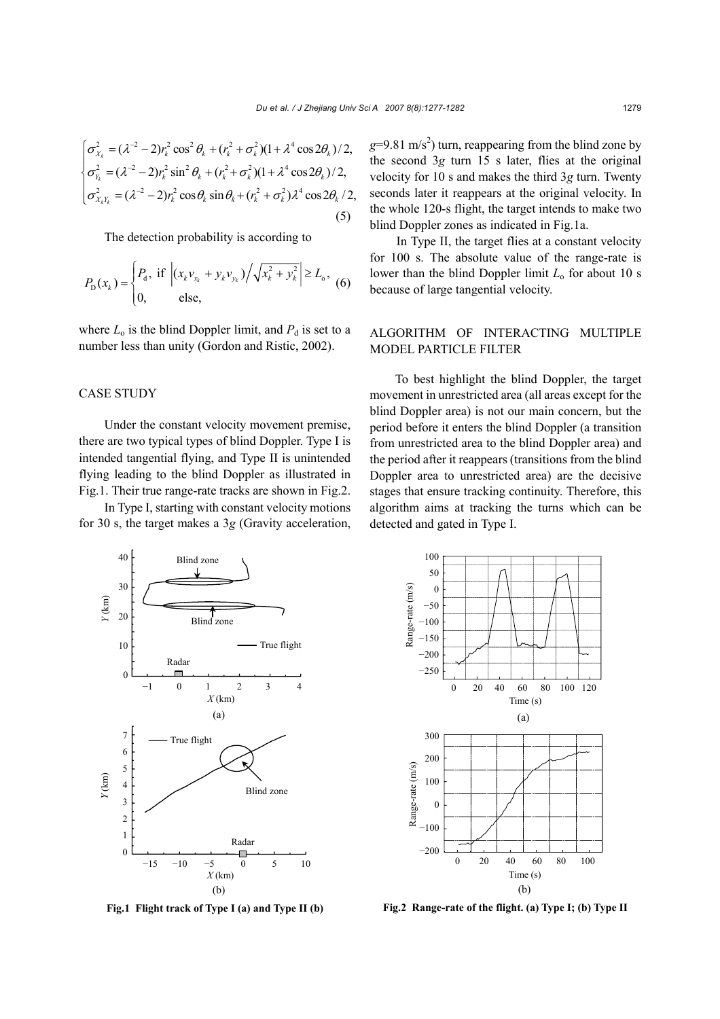$$
\begin{cases}\n\sigma_{x_k}^2 = (\lambda^{-2} - 2)r_k^2 \cos^2 \theta_k + (r_k^2 + \sigma_k^2)(1 + \lambda^4 \cos 2\theta_k)/2, \\
\sigma_{y_k}^2 = (\lambda^{-2} - 2)r_k^2 \sin^2 \theta_k + (r_k^2 + \sigma_k^2)(1 + \lambda^4 \cos 2\theta_k)/2, \\
\sigma_{x_k y_k}^2 = (\lambda^{-2} - 2)r_k^2 \cos \theta_k \sin \theta_k + (r_k^2 + \sigma_k^2)\lambda^4 \cos 2\theta_k/2,\n\end{cases}
$$
\n(5)

The detection probability is according to

$$
P_{\rm D}(x_k) = \begin{cases} P_{\rm d}, \text{ if } \left| (x_k v_{x_k} + y_k v_{y_k}) / \sqrt{x_k^2 + y_k^2} \right| \ge L_{\rm o}, \\ 0, \text{ else,} \end{cases} (6)
$$

where  $L_0$  is the blind Doppler limit, and  $P_d$  is set to a number less than unity (Gordon and Ristic, 2002).

## CASE STUDY

Under the constant velocity movement premise, there are two typical types of blind Doppler. Type I is intended tangential flying, and Type II is unintended flying leading to the blind Doppler as illustrated in Fig.1. Their true range-rate tracks are shown in Fig.2.

In Type I, starting with constant velocity motions for 30 s, the target makes a 3*g* (Gravity acceleration,

 $g=9.81 \text{ m/s}^2$ ) turn, reappearing from the blind zone by the second 3*g* turn 15 s later, flies at the original velocity for 10 s and makes the third 3*g* turn. Twenty seconds later it reappears at the original velocity. In the whole 120-s flight, the target intends to make two blind Doppler zones as indicated in Fig.1a.

In Type II, the target flies at a constant velocity for 100 s. The absolute value of the range-rate is lower than the blind Doppler limit  $L_0$  for about 10 s because of large tangential velocity.

## ALGORITHM OF INTERACTING MULTIPLE MODEL PARTICLE FILTER

To best highlight the blind Doppler, the target movement in unrestricted area (all areas except for the blind Doppler area) is not our main concern, but the period before it enters the blind Doppler (a transition from unrestricted area to the blind Doppler area) and the period after it reappears (transitions from the blind Doppler area to unrestricted area) are the decisive stages that ensure tracking continuity. Therefore, this algorithm aims at tracking the turns which can be detected and gated in Type I.



**Fig.1 Flight track of Type I (a) and Type II (b)** 



**Fig.2 Range-rate of the flight. (a) Type I; (b) Type II**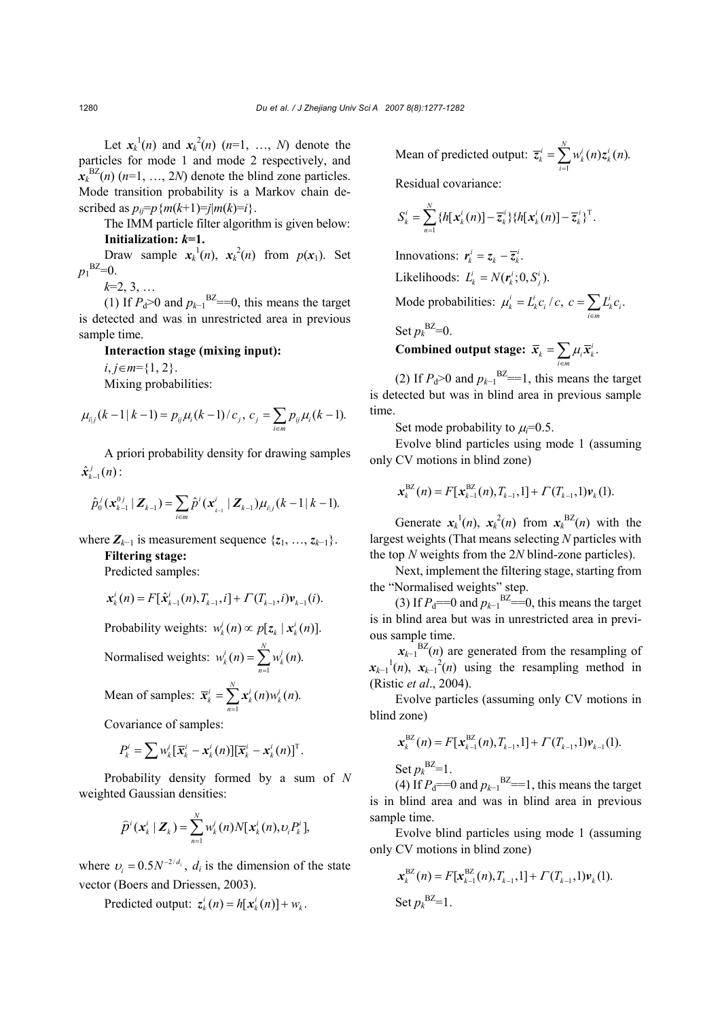Let  $\mathbf{x}_k^{1}(n)$  and  $\mathbf{x}_k^{2}(n)$  (*n*=1, ..., *N*) denote the particles for mode 1 and mode 2 respectively, and  $x_k^{BZ}(n)$  ( $n=1, ..., 2N$ ) denote the blind zone particles. Mode transition probability is a Markov chain described as  $p_{ij} = p \{ m(k+1) = j | m(k) = i \}.$ 

The IMM particle filter algorithm is given below: **Initialization:** *k***=1.** 

Draw sample  $x_k^1(n)$ ,  $x_k^2(n)$  from  $p(x_1)$ . Set  $p_1^{\text{BZ}}=0.$ 

*k*=2, 3, …

(1) If  $P_d$ >0 and  $p_{k-1}$ <sup>BZ</sup>==0, this means the target is detected and was in unrestricted area in previous sample time.

**Interaction stage (mixing input):** 

*i*, *j*∈*m*={1, 2}.

Mixing probabilities:

$$
\mu_{i|j}(k-1|k-1) = p_{ij}\mu_i(k-1)/c_j, \ c_j = \sum_{i \in m} p_{ij}\mu_i(k-1).
$$

A priori probability density for drawing samples  $\hat{\mathbf{x}}_{k-1}^{j}(n)$  :

$$
\hat{p}_0^j(\mathbf{x}_{k-1}^{0j} | \mathbf{Z}_{k-1}) = \sum_{i \in m} \hat{p}^i(\mathbf{x}_{k-1}^i | \mathbf{Z}_{k-1}) \mu_{i,j}^j(k-1 | k-1).
$$

where  $\mathbf{Z}_{k-1}$  is measurement sequence  $\{z_1, \ldots, z_{k-1}\}$ .

**Filtering stage:** 

Predicted samples:

$$
\mathbf{x}_{k}^{i}(n) = F[\hat{\mathbf{x}}_{k-1}^{i}(n), T_{k-1}, i] + \Gamma(T_{k-1}, i)\mathbf{v}_{k-1}(i).
$$

Probability weights:  $w_k^i(n) \propto p[z_k | x_k^i(n)]$ .

Normalised weights: 
$$
w_k^i(n) = \sum_{n=1}^N w_k^i(n)
$$
.

Mean of samples: 
$$
\overline{x}_k^i = \sum_{n=1}^N x_k^i(n) w_k^i(n)
$$
.

Covariance of samples:

$$
P_k^i = \sum w_k^i [\overline{\mathbf{x}}_k^i - \mathbf{x}_k^i(n)][\overline{\mathbf{x}}_k^i - \mathbf{x}_k^i(n)]^{\mathrm{T}}.
$$

Probability density formed by a sum of *N* weighted Gaussian densities:

$$
\widehat{p}^i(\mathbf{x}_k^i\mid \mathbf{Z}_k)=\sum_{n=1}^N w_k^i(n)N[\mathbf{x}_k^i(n),\nu_i P_k^i],
$$

where  $v_i = 0.5 N^{-2/d_i}$ ,  $d_i$  is the dimension of the state vector (Boers and Driessen, 2003).

Predicted output:  $z_k^i(n) = h[x_k^i(n)] + w_k$ .

Mean of predicted output:  $\overline{z}_k^i = \sum_{i=1}^N w_k^i(n) z_k^i(n)$ .  $w_k^i(n)z_k^i(n)$  $\overline{z}_k^i = \sum_{i=1} w_k^i(n) z$ 

Residual covariance:

$$
S_k^i = \sum_{n=1}^N \{h[\mathbf{x}_k^i(n)] - \overline{\mathbf{z}}_k^i\} \{h[\mathbf{x}_k^i(n)] - \overline{\mathbf{z}}_k^i\}^{\mathrm{T}}.
$$

Innovations:  $r_k^i = z_k - \overline{z}_k^i$ . Likelihoods:  $L_k^i = N(r_k^i; 0, S_i^i)$ . Mode probabilities:  $\mu_k^i = L_k^i c_i / c$ ,  $c = \sum_{i \in m} L_k^i c_i$ .  $c = \sum L_k^i$  $=\sum_{i\in m}$ Set  $p_k^{\text{BZ}}=0$ .

Combined output stage:  $\bar{x}_k = \sum \mu_i \bar{x}_k^i$ . *i m*  $\overline{x}_k = \sum_{i \in m} \mu_i \overline{x}$ 

(2) If  $P_d$ >0 and  $p_{k-1}$ <sup>BZ</sup>==1, this means the target is detected but was in blind area in previous sample time.

Set mode probability to  $\mu_i=0.5$ .

Evolve blind particles using mode 1 (assuming only CV motions in blind zone)

$$
\mathbf{x}_{k}^{\text{BZ}}(n) = F[\mathbf{x}_{k-1}^{\text{BZ}}(n), T_{k-1}, 1] + \Gamma(T_{k-1}, 1)\mathbf{v}_{k}(1).
$$

Generate  $x_k^1(n)$ ,  $x_k^2(n)$  from  $x_k^{\text{BZ}}(n)$  with the largest weights (That means selecting *N* particles with the top *N* weights from the 2*N* blind-zone particles).

Next, implement the filtering stage, starting from the "Normalised weights" step.

(3) If  $P_d$ ==0 and  $p_{k-1}$ <sup>BZ</sup>==0, this means the target is in blind area but was in unrestricted area in previous sample time.

 $x_{k-1}^{BZ}(n)$  are generated from the resampling of  $x_{k-1}$ <sup>1</sup>(*n*),  $x_{k-1}$ <sup>2</sup>(*n*) using the resampling method in (Ristic *et al*., 2004).

Evolve particles (assuming only CV motions in blind zone)

$$
\mathbf{x}_{k}^{\text{BZ}}(n) = F[\mathbf{x}_{k-1}^{\text{BZ}}(n), T_{k-1}, 1] + \Gamma(T_{k-1}, 1)\mathbf{v}_{k-1}(1).
$$
  
Set  $p_{k}^{\text{BZ}}=1$ .

(4) If  $P_d$ ==0 and  $p_{k-1}$ <sup>BZ</sup>==1, this means the target is in blind area and was in blind area in previous sample time.

Evolve blind particles using mode 1 (assuming only CV motions in blind zone)

$$
\mathbf{x}_{k}^{\text{BZ}}(n) = F[\mathbf{x}_{k-1}^{\text{BZ}}(n), T_{k-1}, 1] + \Gamma(T_{k-1}, 1)\mathbf{v}_{k}(1).
$$
  
Set  $p_{k}^{\text{BZ}}=1$ .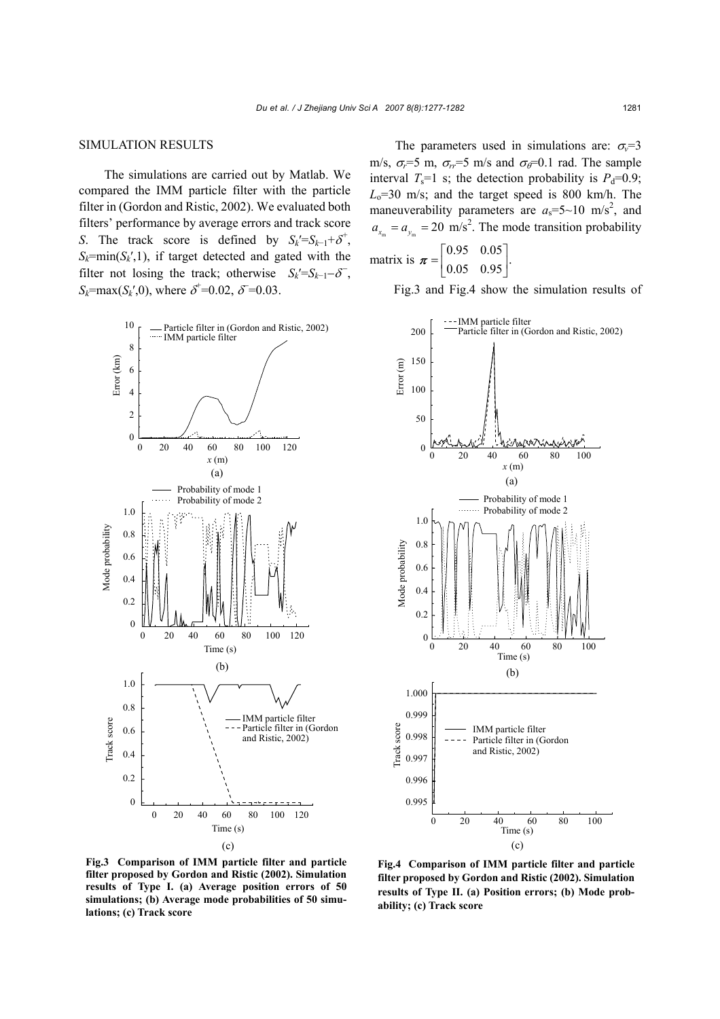## SIMULATION RESULTS

The simulations are carried out by Matlab. We compared the IMM particle filter with the particle filter in (Gordon and Ristic, 2002). We evaluated both filters' performance by average errors and track score *S*. The track score is defined by  $S_k' = S_{k-1} + \delta^+$ ,  $S_k$ =min( $S_k'$ ,1), if target detected and gated with the filter not losing the track; otherwise  $S_k' = S_{k-1} - \delta^-$ ,  $S_k = \max(S_k', 0)$ , where  $\delta^* = 0.02$ ,  $\delta = 0.03$ .



The parameters used in simulations are:  $\sigma_v = 3$ m/s,  $\sigma_r = 5$  m,  $\sigma_{rr} = 5$  m/s and  $\sigma_{\theta} = 0.1$  rad. The sample interval  $T_s=1$  s; the detection probability is  $P_d=0.9$ ;  $L<sub>o</sub>=30$  m/s; and the target speed is 800 km/h. The maneuverability parameters are  $a_s = 5{\sim}10 \text{ m/s}^2$ , and  $a_{x_m} = a_{y_m} = 20 \text{ m/s}^2$ . The mode transition probability

matrix is  $\pi$  $=$  $\begin{bmatrix} 0.95 & 0.05 \\ 0.05 & 0.95 \end{bmatrix}$ .

Fig.3 and Fig.4 show the simulation results of



**Fig.3 Comparison of IMM particle filter and particle filter proposed by Gordon and Ristic (2002). Simulation results of Type I. (a) Average position errors of 50 simulations; (b) Average mode probabilities of 50 simulations; (c) Track score** 

**Fig.4 Comparison of IMM particle filter and particle filter proposed by Gordon and Ristic (2002). Simulation results of Type II. (a) Position errors; (b) Mode probability; (c) Track score**